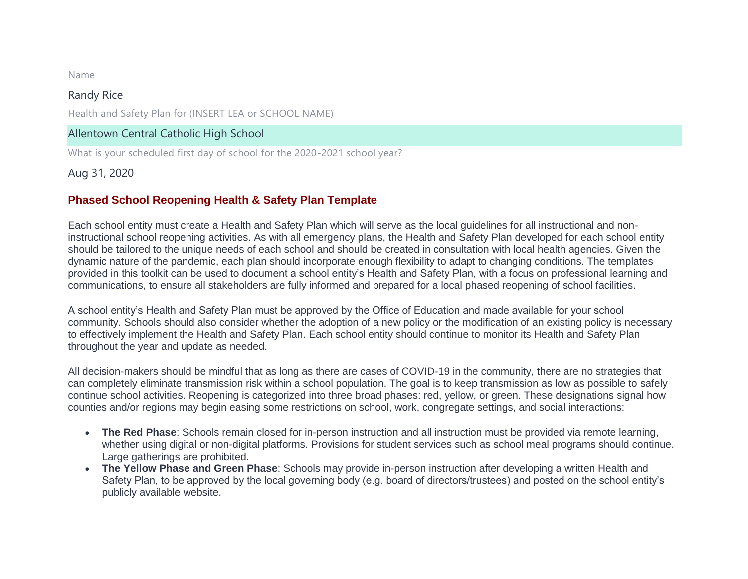Name

#### Randy Rice

Health and Safety Plan for (INSERT LEA or SCHOOL NAME)

#### Allentown Central Catholic High School

What is your scheduled first day of school for the 2020-2021 school year?

Aug 31, 2020

#### **Phased School Reopening Health & Safety Plan Template**

Each school entity must create a Health and Safety Plan which will serve as the local guidelines for all instructional and noninstructional school reopening activities. As with all emergency plans, the Health and Safety Plan developed for each school entity should be tailored to the unique needs of each school and should be created in consultation with local health agencies. Given the dynamic nature of the pandemic, each plan should incorporate enough flexibility to adapt to changing conditions. The templates provided in this toolkit can be used to document a school entity's Health and Safety Plan, with a focus on professional learning and communications, to ensure all stakeholders are fully informed and prepared for a local phased reopening of school facilities.

A school entity's Health and Safety Plan must be approved by the Office of Education and made available for your school community. Schools should also consider whether the adoption of a new policy or the modification of an existing policy is necessary to effectively implement the Health and Safety Plan. Each school entity should continue to monitor its Health and Safety Plan throughout the year and update as needed.

All decision-makers should be mindful that as long as there are cases of COVID-19 in the community, there are no strategies that can completely eliminate transmission risk within a school population. The goal is to keep transmission as low as possible to safely continue school activities. Reopening is categorized into three broad phases: red, yellow, or green. These designations signal how counties and/or regions may begin easing some restrictions on school, work, congregate settings, and social interactions:

- **The Red Phase**: Schools remain closed for in-person instruction and all instruction must be provided via remote learning, whether using digital or non-digital platforms. Provisions for student services such as school meal programs should continue. Large gatherings are prohibited.
- **The Yellow Phase and Green Phase**: Schools may provide in-person instruction after developing a written Health and Safety Plan, to be approved by the local governing body (e.g. board of directors/trustees) and posted on the school entity's publicly available website.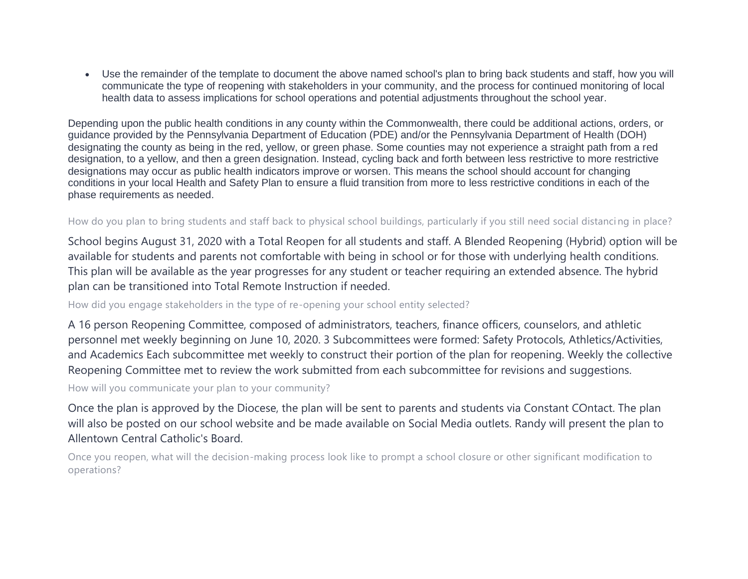Use the remainder of the template to document the above named school's plan to bring back students and staff, how you will communicate the type of reopening with stakeholders in your community, and the process for continued monitoring of local health data to assess implications for school operations and potential adjustments throughout the school year.

Depending upon the public health conditions in any county within the Commonwealth, there could be additional actions, orders, or guidance provided by the Pennsylvania Department of Education (PDE) and/or the Pennsylvania Department of Health (DOH) designating the county as being in the red, yellow, or green phase. Some counties may not experience a straight path from a red designation, to a yellow, and then a green designation. Instead, cycling back and forth between less restrictive to more restrictive designations may occur as public health indicators improve or worsen. This means the school should account for changing conditions in your local Health and Safety Plan to ensure a fluid transition from more to less restrictive conditions in each of the phase requirements as needed.

#### How do you plan to bring students and staff back to physical school buildings, particularly if you still need social distanci ng in place?

School begins August 31, 2020 with a Total Reopen for all students and staff. A Blended Reopening (Hybrid) option will be available for students and parents not comfortable with being in school or for those with underlying health conditions. This plan will be available as the year progresses for any student or teacher requiring an extended absence. The hybrid plan can be transitioned into Total Remote Instruction if needed.

How did you engage stakeholders in the type of re-opening your school entity selected?

A 16 person Reopening Committee, composed of administrators, teachers, finance officers, counselors, and athletic personnel met weekly beginning on June 10, 2020. 3 Subcommittees were formed: Safety Protocols, Athletics/Activities, and Academics Each subcommittee met weekly to construct their portion of the plan for reopening. Weekly the collective Reopening Committee met to review the work submitted from each subcommittee for revisions and suggestions.

How will you communicate your plan to your community?

Once the plan is approved by the Diocese, the plan will be sent to parents and students via Constant COntact. The plan will also be posted on our school website and be made available on Social Media outlets. Randy will present the plan to Allentown Central Catholic's Board.

Once you reopen, what will the decision-making process look like to prompt a school closure or other significant modification to operations?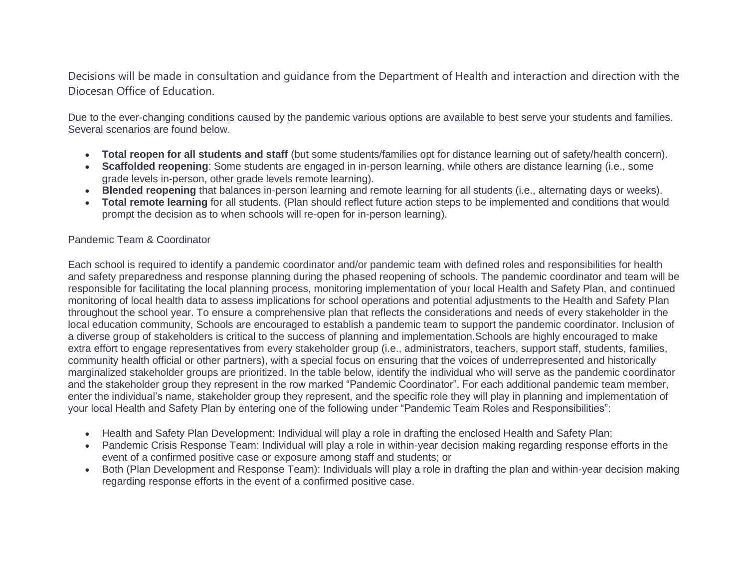Decisions will be made in consultation and guidance from the Department of Health and interaction and direction with the Diocesan Office of Education.

Due to the ever-changing conditions caused by the pandemic various options are available to best serve your students and families. Several scenarios are found below.

- **Total reopen for all students and staff** (but some students/families opt for distance learning out of safety/health concern).
- **Scaffolded reopening**: Some students are engaged in in-person learning, while others are distance learning (i.e., some grade levels in-person, other grade levels remote learning).
- **Blended reopening** that balances in-person learning and remote learning for all students (i.e., alternating days or weeks).
- **Total remote learning** for all students. (Plan should reflect future action steps to be implemented and conditions that would prompt the decision as to when schools will re-open for in-person learning).

#### Pandemic Team & Coordinator

Each school is required to identify a pandemic coordinator and/or pandemic team with defined roles and responsibilities for health and safety preparedness and response planning during the phased reopening of schools. The pandemic coordinator and team will be responsible for facilitating the local planning process, monitoring implementation of your local Health and Safety Plan, and continued monitoring of local health data to assess implications for school operations and potential adjustments to the Health and Safety Plan throughout the school year. To ensure a comprehensive plan that reflects the considerations and needs of every stakeholder in the local education community, Schools are encouraged to establish a pandemic team to support the pandemic coordinator. Inclusion of a diverse group of stakeholders is critical to the success of planning and implementation.Schools are highly encouraged to make extra effort to engage representatives from every stakeholder group (i.e., administrators, teachers, support staff, students, families, community health official or other partners), with a special focus on ensuring that the voices of underrepresented and historically marginalized stakeholder groups are prioritized. In the table below, identify the individual who will serve as the pandemic coordinator and the stakeholder group they represent in the row marked "Pandemic Coordinator". For each additional pandemic team member, enter the individual's name, stakeholder group they represent, and the specific role they will play in planning and implementation of your local Health and Safety Plan by entering one of the following under "Pandemic Team Roles and Responsibilities":

- Health and Safety Plan Development: Individual will play a role in drafting the enclosed Health and Safety Plan;
- Pandemic Crisis Response Team: Individual will play a role in within-year decision making regarding response efforts in the event of a confirmed positive case or exposure among staff and students; or
- Both (Plan Development and Response Team): Individuals will play a role in drafting the plan and within-year decision making regarding response efforts in the event of a confirmed positive case.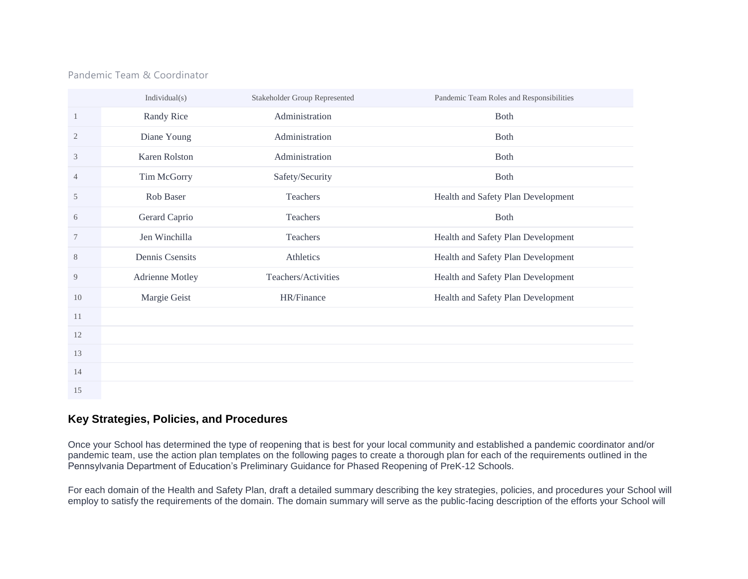#### Pandemic Team & Coordinator

|                | Individual(s)   | Stakeholder Group Represented | Pandemic Team Roles and Responsibilities |
|----------------|-----------------|-------------------------------|------------------------------------------|
| $\mathbf{1}$   | Randy Rice      | Administration                | Both                                     |
| $\overline{2}$ | Diane Young     | Administration                | <b>Both</b>                              |
| 3              | Karen Rolston   | Administration                | <b>Both</b>                              |
| 4              | Tim McGorry     | Safety/Security               | <b>Both</b>                              |
| 5              | Rob Baser       | Teachers                      | Health and Safety Plan Development       |
| 6              | Gerard Caprio   | Teachers                      | Both                                     |
| 7              | Jen Winchilla   | Teachers                      | Health and Safety Plan Development       |
| $8\,$          | Dennis Csensits | Athletics                     | Health and Safety Plan Development       |
| 9              | Adrienne Motley | Teachers/Activities           | Health and Safety Plan Development       |
| 10             | Margie Geist    | HR/Finance                    | Health and Safety Plan Development       |
| 11             |                 |                               |                                          |
| 12             |                 |                               |                                          |
| 13             |                 |                               |                                          |
| 14             |                 |                               |                                          |
| 15             |                 |                               |                                          |

#### **Key Strategies, Policies, and Procedures**

Once your School has determined the type of reopening that is best for your local community and established a pandemic coordinator and/or pandemic team, use the action plan templates on the following pages to create a thorough plan for each of the requirements outlined in the Pennsylvania Department of Education's Preliminary Guidance for Phased Reopening of PreK-12 Schools.

For each domain of the Health and Safety Plan, draft a detailed summary describing the key strategies, policies, and procedures your School will employ to satisfy the requirements of the domain. The domain summary will serve as the public-facing description of the efforts your School will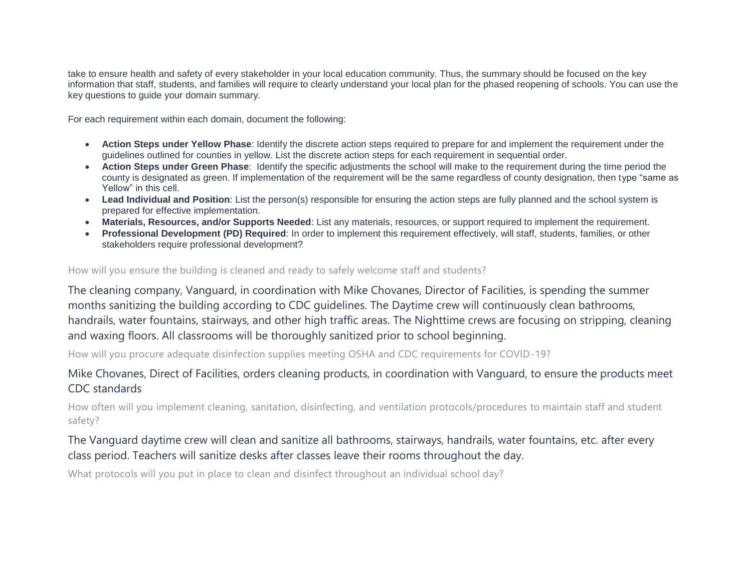take to ensure health and safety of every stakeholder in your local education community. Thus, the summary should be focused on the key information that staff, students, and families will require to clearly understand your local plan for the phased reopening of schools. You can use the key questions to guide your domain summary.

For each requirement within each domain, document the following:

- **Action Steps under Yellow Phase**: Identify the discrete action steps required to prepare for and implement the requirement under the guidelines outlined for counties in yellow. List the discrete action steps for each requirement in sequential order.
- **Action Steps under Green Phase**: Identify the specific adjustments the school will make to the requirement during the time period the county is designated as green. If implementation of the requirement will be the same regardless of county designation, then type "same as Yellow" in this cell.
- **Lead Individual and Position**: List the person(s) responsible for ensuring the action steps are fully planned and the school system is prepared for effective implementation.
- **Materials, Resources, and/or Supports Needed**: List any materials, resources, or support required to implement the requirement.
- **Professional Development (PD) Required**: In order to implement this requirement effectively, will staff, students, families, or other stakeholders require professional development?

#### How will you ensure the building is cleaned and ready to safely welcome staff and students?

The cleaning company, Vanguard, in coordination with Mike Chovanes, Director of Facilities, is spending the summer months sanitizing the building according to CDC guidelines. The Daytime crew will continuously clean bathrooms, handrails, water fountains, stairways, and other high traffic areas. The Nighttime crews are focusing on stripping, cleaning and waxing floors. All classrooms will be thoroughly sanitized prior to school beginning.

How will you procure adequate disinfection supplies meeting OSHA and CDC requirements for COVID-19?

# Mike Chovanes, Direct of Facilities, orders cleaning products, in coordination with Vanguard, to ensure the products meet CDC standards

How often will you implement cleaning, sanitation, disinfecting, and ventilation protocols/procedures to maintain staff and student safety?

# The Vanguard daytime crew will clean and sanitize all bathrooms, stairways, handrails, water fountains, etc. after every class period. Teachers will sanitize desks after classes leave their rooms throughout the day.

What protocols will you put in place to clean and disinfect throughout an individual school day?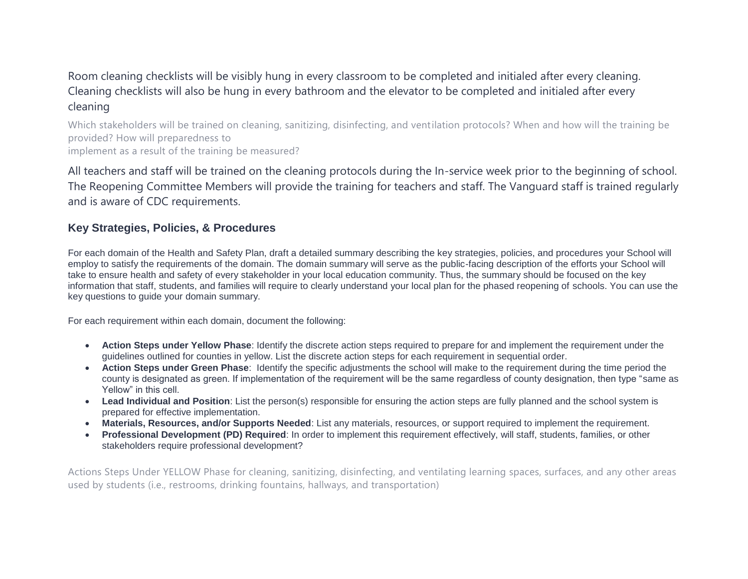# Room cleaning checklists will be visibly hung in every classroom to be completed and initialed after every cleaning. Cleaning checklists will also be hung in every bathroom and the elevator to be completed and initialed after every cleaning

Which stakeholders will be trained on cleaning, sanitizing, disinfecting, and ventilation protocols? When and how will the training be provided? How will preparedness to implement as a result of the training be measured?

All teachers and staff will be trained on the cleaning protocols during the In-service week prior to the beginning of school. The Reopening Committee Members will provide the training for teachers and staff. The Vanguard staff is trained regularly and is aware of CDC requirements.

## **Key Strategies, Policies, & Procedures**

For each domain of the Health and Safety Plan, draft a detailed summary describing the key strategies, policies, and procedures your School will employ to satisfy the requirements of the domain. The domain summary will serve as the public-facing description of the efforts your School will take to ensure health and safety of every stakeholder in your local education community. Thus, the summary should be focused on the key information that staff, students, and families will require to clearly understand your local plan for the phased reopening of schools. You can use the key questions to guide your domain summary.

For each requirement within each domain, document the following:

- **Action Steps under Yellow Phase**: Identify the discrete action steps required to prepare for and implement the requirement under the guidelines outlined for counties in yellow. List the discrete action steps for each requirement in sequential order.
- **Action Steps under Green Phase**: Identify the specific adjustments the school will make to the requirement during the time period the county is designated as green. If implementation of the requirement will be the same regardless of county designation, then type "same as Yellow" in this cell.
- **Lead Individual and Position**: List the person(s) responsible for ensuring the action steps are fully planned and the school system is prepared for effective implementation.
- **Materials, Resources, and/or Supports Needed**: List any materials, resources, or support required to implement the requirement.
- **Professional Development (PD) Required**: In order to implement this requirement effectively, will staff, students, families, or other stakeholders require professional development?

Actions Steps Under YELLOW Phase for cleaning, sanitizing, disinfecting, and ventilating learning spaces, surfaces, and any other areas used by students (i.e., restrooms, drinking fountains, hallways, and transportation)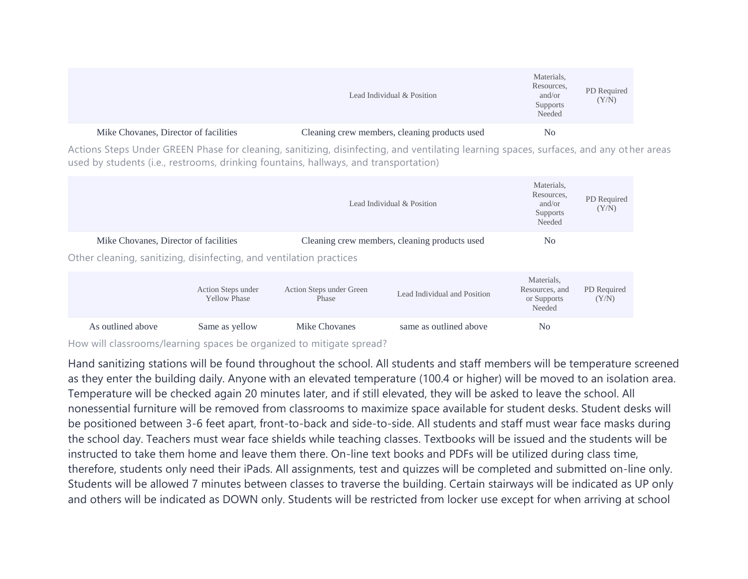|                                       | Lead Individual & Position                    | Materials,<br>Resources,<br>and/or<br>Supports<br>Needed | PD Required<br>(Y/N) |
|---------------------------------------|-----------------------------------------------|----------------------------------------------------------|----------------------|
| Mike Chovanes, Director of facilities | Cleaning crew members, cleaning products used | N <sub>0</sub>                                           |                      |

Actions Steps Under GREEN Phase for cleaning, sanitizing, disinfecting, and ventilating learning spaces, surfaces, and any ot her areas used by students (i.e., restrooms, drinking fountains, hallways, and transportation)

|                                                                                                              | Lead Individual & Position                |                                   |                                               |                                                       |                      |
|--------------------------------------------------------------------------------------------------------------|-------------------------------------------|-----------------------------------|-----------------------------------------------|-------------------------------------------------------|----------------------|
| Mike Chovanes, Director of facilities<br>Other cleaning, sanitizing, disinfecting, and ventilation practices |                                           |                                   | Cleaning crew members, cleaning products used | N <sub>0</sub>                                        |                      |
|                                                                                                              | Action Steps under<br><b>Yellow Phase</b> | Action Steps under Green<br>Phase | Lead Individual and Position                  | Materials,<br>Resources, and<br>or Supports<br>Needed | PD Required<br>(Y/N) |

As outlined above Same as yellow Mike Chovanes same as outlined above No

How will classrooms/learning spaces be organized to mitigate spread?

Hand sanitizing stations will be found throughout the school. All students and staff members will be temperature screened as they enter the building daily. Anyone with an elevated temperature (100.4 or higher) will be moved to an isolation area. Temperature will be checked again 20 minutes later, and if still elevated, they will be asked to leave the school. All nonessential furniture will be removed from classrooms to maximize space available for student desks. Student desks will be positioned between 3-6 feet apart, front-to-back and side-to-side. All students and staff must wear face masks during the school day. Teachers must wear face shields while teaching classes. Textbooks will be issued and the students will be instructed to take them home and leave them there. On-line text books and PDFs will be utilized during class time, therefore, students only need their iPads. All assignments, test and quizzes will be completed and submitted on-line only. Students will be allowed 7 minutes between classes to traverse the building. Certain stairways will be indicated as UP only and others will be indicated as DOWN only. Students will be restricted from locker use except for when arriving at school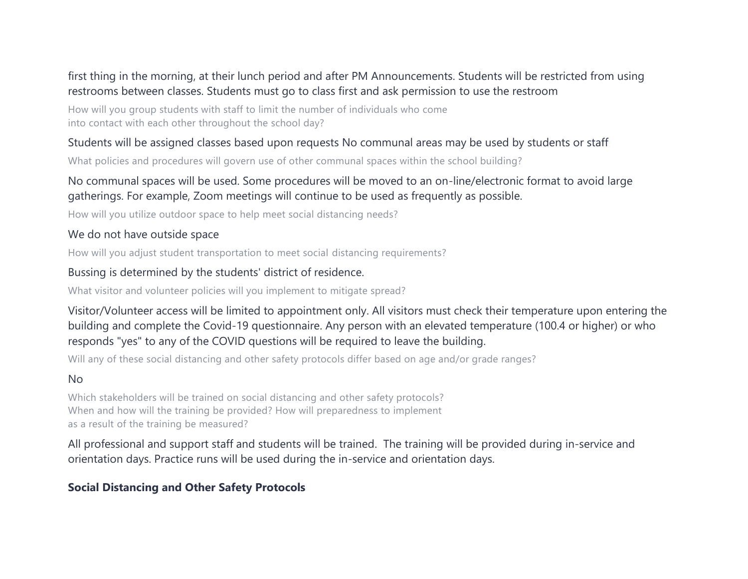# first thing in the morning, at their lunch period and after PM Announcements. Students will be restricted from using restrooms between classes. Students must go to class first and ask permission to use the restroom

How will you group students with staff to limit the number of individuals who come into contact with each other throughout the school day?

## Students will be assigned classes based upon requests No communal areas may be used by students or staff

What policies and procedures will govern use of other communal spaces within the school building?

# No communal spaces will be used. Some procedures will be moved to an on-line/electronic format to avoid large gatherings. For example, Zoom meetings will continue to be used as frequently as possible.

How will you utilize outdoor space to help meet social distancing needs?

## We do not have outside space

How will you adjust student transportation to meet social distancing requirements?

## Bussing is determined by the students' district of residence.

What visitor and volunteer policies will you implement to mitigate spread?

Visitor/Volunteer access will be limited to appointment only. All visitors must check their temperature upon entering the building and complete the Covid-19 questionnaire. Any person with an elevated temperature (100.4 or higher) or who responds "yes" to any of the COVID questions will be required to leave the building.

Will any of these social distancing and other safety protocols differ based on age and/or grade ranges?

## No

Which stakeholders will be trained on social distancing and other safety protocols? When and how will the training be provided? How will preparedness to implement as a result of the training be measured?

All professional and support staff and students will be trained. The training will be provided during in-service and orientation days. Practice runs will be used during the in-service and orientation days.

# **Social Distancing and Other Safety Protocols**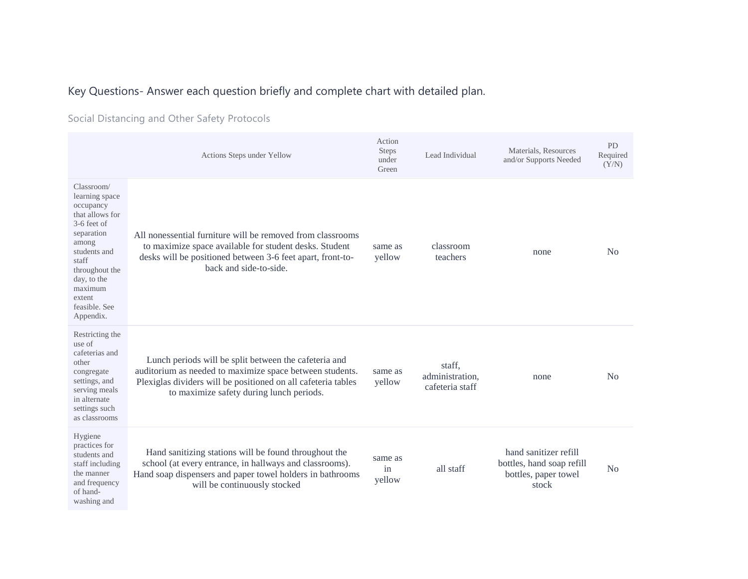# Key Questions- Answer each question briefly and complete chart with detailed plan.

Social Distancing and Other Safety Protocols

|                                                                                                                                                                                                                   | Actions Steps under Yellow                                                                                                                                                                                                     | Action<br><b>Steps</b><br>under<br>Green | Lead Individual                              | Materials, Resources<br>and/or Supports Needed                                      | PD<br>Required<br>(Y/N) |
|-------------------------------------------------------------------------------------------------------------------------------------------------------------------------------------------------------------------|--------------------------------------------------------------------------------------------------------------------------------------------------------------------------------------------------------------------------------|------------------------------------------|----------------------------------------------|-------------------------------------------------------------------------------------|-------------------------|
| Classroom/<br>learning space<br>occupancy<br>that allows for<br>$3-6$ feet of<br>separation<br>among<br>students and<br>staff<br>throughout the<br>day, to the<br>maximum<br>extent<br>feasible. See<br>Appendix. | All nonessential furniture will be removed from classrooms<br>to maximize space available for student desks. Student<br>desks will be positioned between 3-6 feet apart, front-to-<br>back and side-to-side.                   | same as<br>yellow                        | classroom<br>teachers                        | none                                                                                | N <sub>0</sub>          |
| Restricting the<br>use of<br>cafeterias and<br>other<br>congregate<br>settings, and<br>serving meals<br>in alternate<br>settings such<br>as classrooms                                                            | Lunch periods will be split between the cafeteria and<br>auditorium as needed to maximize space between students.<br>Plexiglas dividers will be positioned on all cafeteria tables<br>to maximize safety during lunch periods. | same as<br>yellow                        | staff,<br>administration,<br>cafeteria staff | none                                                                                | No                      |
| Hygiene<br>practices for<br>students and<br>staff including<br>the manner<br>and frequency<br>of hand-<br>washing and                                                                                             | Hand sanitizing stations will be found throughout the<br>school (at every entrance, in hallways and classrooms).<br>Hand soap dispensers and paper towel holders in bathrooms<br>will be continuously stocked                  | same as<br>in<br>yellow                  | all staff                                    | hand sanitizer refill<br>bottles, hand soap refill<br>bottles, paper towel<br>stock | N <sub>o</sub>          |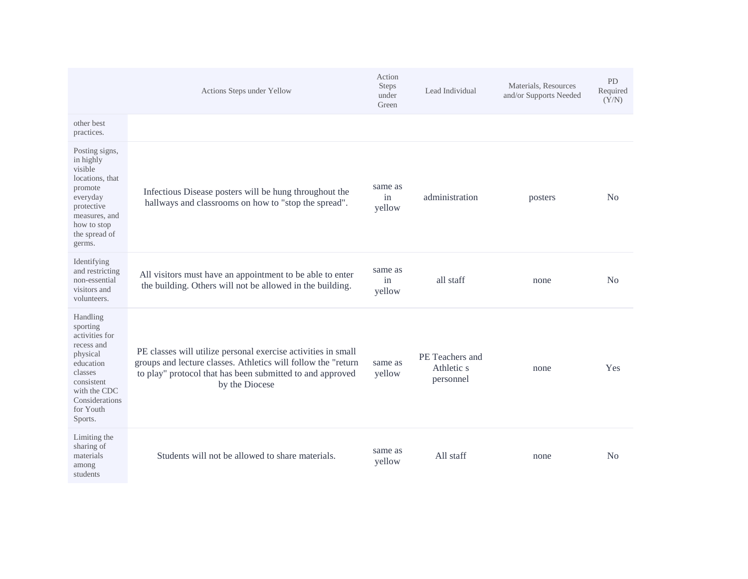|                                                                                                                                                                  | Actions Steps under Yellow                                                                                                                                                                                    | Action<br><b>Steps</b><br>under<br>Green | Lead Individual                            | Materials, Resources<br>and/or Supports Needed | <b>PD</b><br>Required<br>(Y/N) |
|------------------------------------------------------------------------------------------------------------------------------------------------------------------|---------------------------------------------------------------------------------------------------------------------------------------------------------------------------------------------------------------|------------------------------------------|--------------------------------------------|------------------------------------------------|--------------------------------|
| other best<br>practices.                                                                                                                                         |                                                                                                                                                                                                               |                                          |                                            |                                                |                                |
| Posting signs,<br>in highly<br>visible<br>locations, that<br>promote<br>everyday<br>protective<br>measures, and<br>how to stop<br>the spread of<br>germs.        | Infectious Disease posters will be hung throughout the<br>hallways and classrooms on how to "stop the spread".                                                                                                | same as<br>in<br>yellow                  | administration                             | posters                                        | N <sub>0</sub>                 |
| Identifying<br>and restricting<br>non-essential<br>visitors and<br>volunteers.                                                                                   | All visitors must have an appointment to be able to enter<br>the building. Others will not be allowed in the building.                                                                                        | same as<br>in<br>yellow                  | all staff                                  | none                                           | No                             |
| Handling<br>sporting<br>activities for<br>recess and<br>physical<br>education<br>classes<br>consistent<br>with the CDC<br>Considerations<br>for Youth<br>Sports. | PE classes will utilize personal exercise activities in small<br>groups and lecture classes. Athletics will follow the "return<br>to play" protocol that has been submitted to and approved<br>by the Diocese | same as<br>yellow                        | PE Teachers and<br>Athletic s<br>personnel | none                                           | Yes                            |
| Limiting the<br>sharing of<br>materials<br>among<br>students                                                                                                     | Students will not be allowed to share materials.                                                                                                                                                              | same as<br>yellow                        | All staff                                  | none                                           | N <sub>0</sub>                 |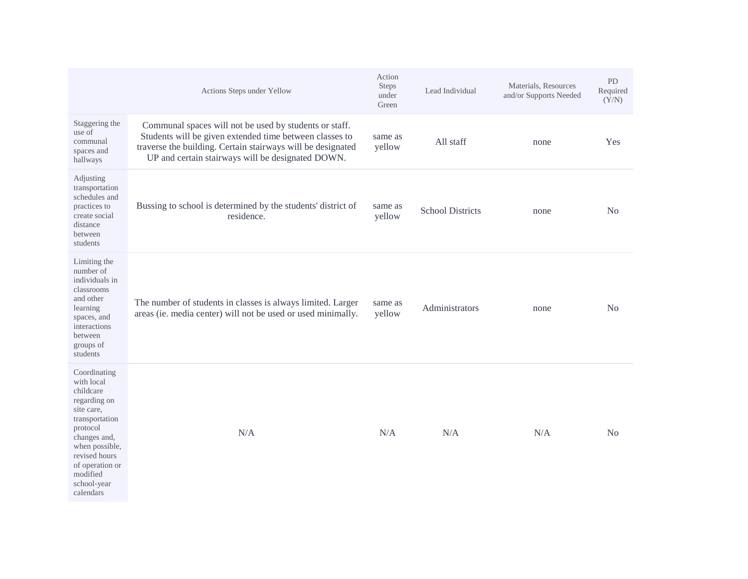|                                                                                                                                                                                                                   | Actions Steps under Yellow                                                                                                                                                                                                            | Action<br>Steps<br>under<br>Green | Lead Individual         | Materials, Resources<br>and/or Supports Needed | <b>PD</b><br>Required<br>(Y/N) |
|-------------------------------------------------------------------------------------------------------------------------------------------------------------------------------------------------------------------|---------------------------------------------------------------------------------------------------------------------------------------------------------------------------------------------------------------------------------------|-----------------------------------|-------------------------|------------------------------------------------|--------------------------------|
| Staggering the<br>use of<br>communal<br>spaces and<br>hallways                                                                                                                                                    | Communal spaces will not be used by students or staff.<br>Students will be given extended time between classes to<br>traverse the building. Certain stairways will be designated<br>UP and certain stairways will be designated DOWN. | same as<br>yellow                 | All staff               | none                                           | Yes                            |
| Adjusting<br>transportation<br>schedules and<br>practices to<br>create social<br>distance<br>between<br>students                                                                                                  | Bussing to school is determined by the students' district of<br>residence.                                                                                                                                                            | same as<br>yellow                 | <b>School Districts</b> | none                                           | No                             |
| Limiting the<br>number of<br>individuals in<br>classrooms<br>and other<br>learning<br>spaces, and<br>interactions<br>between<br>groups of<br>students                                                             | The number of students in classes is always limited. Larger<br>areas (ie. media center) will not be used or used minimally.                                                                                                           | same as<br>yellow                 | Administrators          | none                                           | No                             |
| Coordinating<br>with local<br>childcare<br>regarding on<br>site care,<br>transportation<br>protocol<br>changes and,<br>when possible,<br>revised hours<br>of operation or<br>modified<br>school-year<br>calendars | N/A                                                                                                                                                                                                                                   | N/A                               | N/A                     | N/A                                            | N <sub>0</sub>                 |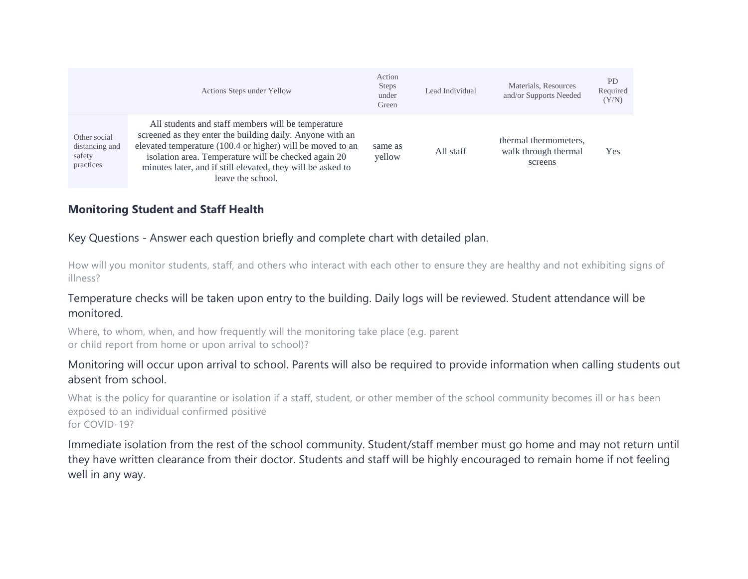|                                                       | Actions Steps under Yellow                                                                                                                                                                                                                                                                                                | Action<br><b>Steps</b><br>under<br>Green | Lead Individual | Materials, Resources<br>and/or Supports Needed           | <b>PD</b><br>Required<br>(Y/N) |
|-------------------------------------------------------|---------------------------------------------------------------------------------------------------------------------------------------------------------------------------------------------------------------------------------------------------------------------------------------------------------------------------|------------------------------------------|-----------------|----------------------------------------------------------|--------------------------------|
| Other social<br>distancing and<br>safety<br>practices | All students and staff members will be temperature<br>screened as they enter the building daily. Anyone with an<br>elevated temperature (100.4 or higher) will be moved to an<br>isolation area. Temperature will be checked again 20<br>minutes later, and if still elevated, they will be asked to<br>leave the school. | same as<br>yellow                        | All staff       | thermal thermometers,<br>walk through thermal<br>screens | Yes                            |

## **Monitoring Student and Staff Health**

Key Questions - Answer each question briefly and complete chart with detailed plan.

How will you monitor students, staff, and others who interact with each other to ensure they are healthy and not exhibiting signs of illness?

#### Temperature checks will be taken upon entry to the building. Daily logs will be reviewed. Student attendance will be monitored.

Where, to whom, when, and how frequently will the monitoring take place (e.g. parent or child report from home or upon arrival to school)?

## Monitoring will occur upon arrival to school. Parents will also be required to provide information when calling students out absent from school.

What is the policy for quarantine or isolation if a staff, student, or other member of the school community becomes ill or has been exposed to an individual confirmed positive for COVID-19?

Immediate isolation from the rest of the school community. Student/staff member must go home and may not return until they have written clearance from their doctor. Students and staff will be highly encouraged to remain home if not feeling well in any way.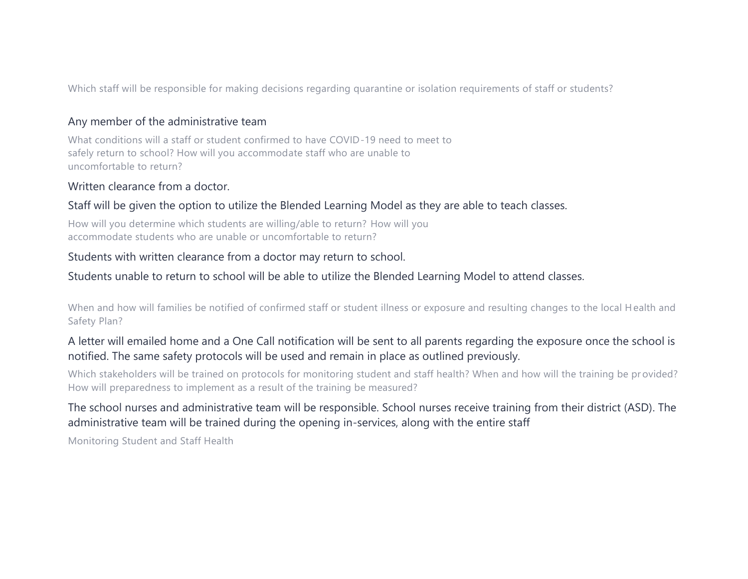Which staff will be responsible for making decisions regarding quarantine or isolation requirements of staff or students?

#### Any member of the administrative team

What conditions will a staff or student confirmed to have COVID-19 need to meet to safely return to school? How will you accommodate staff who are unable to uncomfortable to return?

#### Written clearance from a doctor.

#### Staff will be given the option to utilize the Blended Learning Model as they are able to teach classes.

How will you determine which students are willing/able to return? How will you accommodate students who are unable or uncomfortable to return?

#### Students with written clearance from a doctor may return to school.

#### Students unable to return to school will be able to utilize the Blended Learning Model to attend classes.

When and how will families be notified of confirmed staff or student illness or exposure and resulting changes to the local H ealth and Safety Plan?

# A letter will emailed home and a One Call notification will be sent to all parents regarding the exposure once the school is notified. The same safety protocols will be used and remain in place as outlined previously.

Which stakeholders will be trained on protocols for monitoring student and staff health? When and how will the training be pr ovided? How will preparedness to implement as a result of the training be measured?

## The school nurses and administrative team will be responsible. School nurses receive training from their district (ASD). The administrative team will be trained during the opening in-services, along with the entire staff

Monitoring Student and Staff Health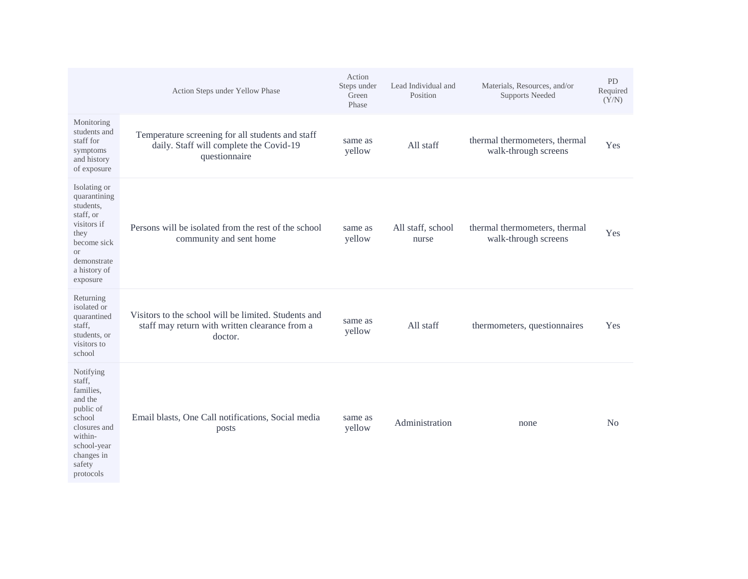|                                                                                                                                                      | Action Steps under Yellow Phase                                                                                   | Action<br>Steps under<br>Green<br>Phase | Lead Individual and<br>Position | Materials, Resources, and/or<br><b>Supports Needed</b> | PD<br>Required<br>(Y/N) |
|------------------------------------------------------------------------------------------------------------------------------------------------------|-------------------------------------------------------------------------------------------------------------------|-----------------------------------------|---------------------------------|--------------------------------------------------------|-------------------------|
| Monitoring<br>students and<br>staff for<br>symptoms<br>and history<br>of exposure                                                                    | Temperature screening for all students and staff<br>daily. Staff will complete the Covid-19<br>questionnaire      | same as<br>yellow                       | All staff                       | thermal thermometers, thermal<br>walk-through screens  | Yes                     |
| Isolating or<br>quarantining<br>students,<br>staff, or<br>visitors if<br>they<br>become sick<br><b>or</b><br>demonstrate<br>a history of<br>exposure | Persons will be isolated from the rest of the school<br>community and sent home                                   | same as<br>yellow                       | All staff, school<br>nurse      | thermal thermometers, thermal<br>walk-through screens  | Yes                     |
| Returning<br>isolated or<br>quarantined<br>staff,<br>students, or<br>visitors to<br>school                                                           | Visitors to the school will be limited. Students and<br>staff may return with written clearance from a<br>doctor. | same as<br>yellow                       | All staff                       | thermometers, questionnaires                           | Yes                     |
| Notifying<br>staff,<br>families.<br>and the<br>public of<br>school<br>closures and<br>within-<br>school-year<br>changes in<br>safety<br>protocols    | Email blasts, One Call notifications, Social media<br>posts                                                       | same as<br>yellow                       | Administration                  | none                                                   | N <sub>o</sub>          |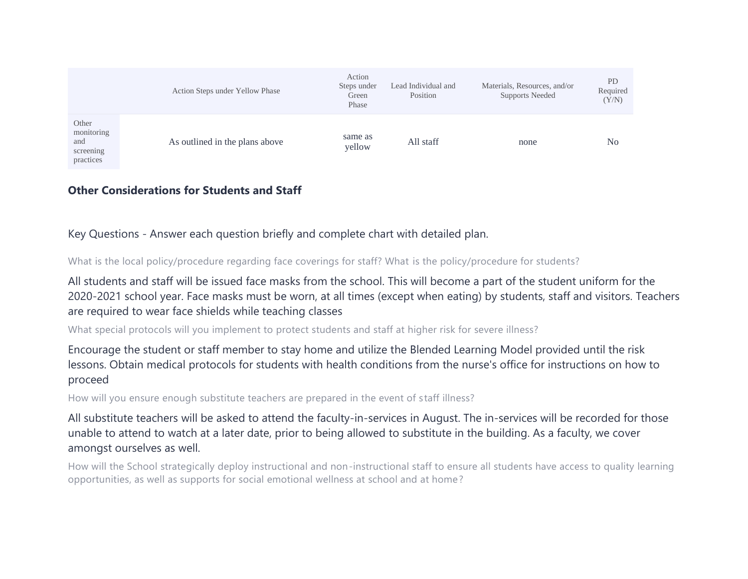|                                                      | Action Steps under Yellow Phase | Action<br>Steps under<br>Green<br>Phase | Lead Individual and<br>Position | Materials, Resources, and/or<br><b>Supports Needed</b> | PD<br>Required<br>(Y/N) |
|------------------------------------------------------|---------------------------------|-----------------------------------------|---------------------------------|--------------------------------------------------------|-------------------------|
| Other<br>monitoring<br>and<br>screening<br>practices | As outlined in the plans above  | same as<br>yellow                       | All staff                       | none                                                   | N <sub>0</sub>          |

#### **Other Considerations for Students and Staff**

Key Questions - Answer each question briefly and complete chart with detailed plan.

What is the local policy/procedure regarding face coverings for staff? What is the policy/procedure for students?

All students and staff will be issued face masks from the school. This will become a part of the student uniform for the 2020-2021 school year. Face masks must be worn, at all times (except when eating) by students, staff and visitors. Teachers are required to wear face shields while teaching classes

What special protocols will you implement to protect students and staff at higher risk for severe illness?

Encourage the student or staff member to stay home and utilize the Blended Learning Model provided until the risk lessons. Obtain medical protocols for students with health conditions from the nurse's office for instructions on how to proceed

How will you ensure enough substitute teachers are prepared in the event of staff illness?

All substitute teachers will be asked to attend the faculty-in-services in August. The in-services will be recorded for those unable to attend to watch at a later date, prior to being allowed to substitute in the building. As a faculty, we cover amongst ourselves as well.

How will the School strategically deploy instructional and non-instructional staff to ensure all students have access to quality learning opportunities, as well as supports for social emotional wellness at school and at home?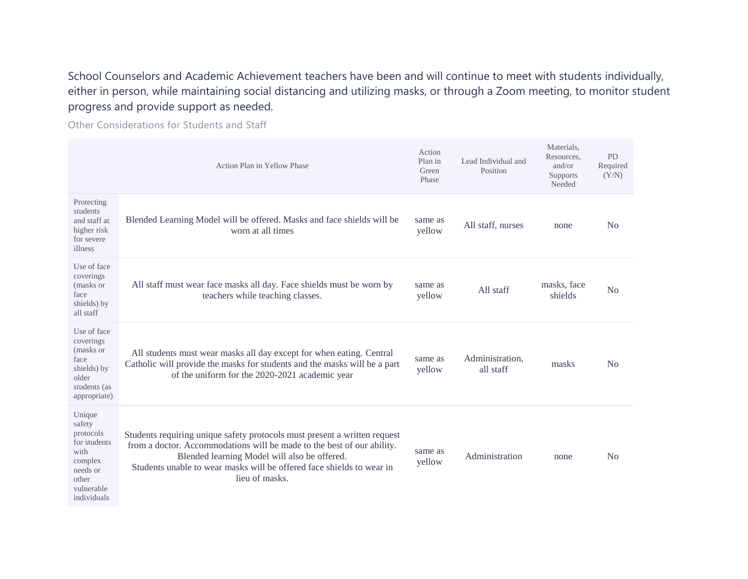School Counselors and Academic Achievement teachers have been and will continue to meet with students individually, either in person, while maintaining social distancing and utilizing masks, or through a Zoom meeting, to monitor student progress and provide support as needed.

Other Considerations for Students and Staff

|                                                                                                                    | Action Plan in Yellow Phase                                                                                                                                                                                                                                                                    | Action<br>Plan in<br>Green<br>Phase | Lead Individual and<br>Position | Materials,<br>Resources,<br>and/or<br>Supports<br>Needed | PD<br>Required<br>(Y/N) |
|--------------------------------------------------------------------------------------------------------------------|------------------------------------------------------------------------------------------------------------------------------------------------------------------------------------------------------------------------------------------------------------------------------------------------|-------------------------------------|---------------------------------|----------------------------------------------------------|-------------------------|
| Protecting<br>students<br>and staff at<br>higher risk<br>for severe<br>illness                                     | Blended Learning Model will be offered. Masks and face shields will be<br>worn at all times                                                                                                                                                                                                    | same as<br>yellow                   | All staff, nurses               | none                                                     | N <sub>0</sub>          |
| Use of face<br>coverings<br>(masks or<br>face<br>shields) by<br>all staff                                          | All staff must wear face masks all day. Face shields must be worn by<br>teachers while teaching classes.                                                                                                                                                                                       | same as<br>yellow                   | All staff                       | masks, face<br>shields                                   | No                      |
| Use of face<br>coverings<br>(masks or<br>face<br>shields) by<br>older<br>students (as<br>appropriate)              | All students must wear masks all day except for when eating. Central<br>Catholic will provide the masks for students and the masks will be a part<br>of the uniform for the 2020-2021 academic year                                                                                            | same as<br>yellow                   | Administration.<br>all staff    | masks                                                    | N <sub>o</sub>          |
| Unique<br>safety<br>protocols<br>for students<br>with<br>complex<br>needs or<br>other<br>vulnerable<br>individuals | Students requiring unique safety protocols must present a written request<br>from a doctor. Accommodations will be made to the best of our ability.<br>Blended learning Model will also be offered.<br>Students unable to wear masks will be offered face shields to wear in<br>lieu of masks. | same as<br>yellow                   | Administration                  | none                                                     | N <sub>0</sub>          |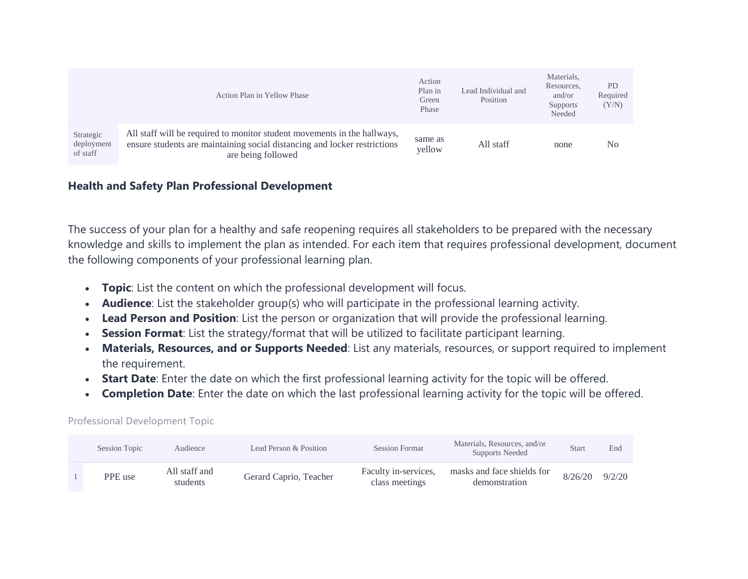|                                     | Action Plan in Yellow Phase                                                                                                                                                 | Action<br>Plan in<br>Green<br>Phase | Lead Individual and<br>Position | Materials,<br>Resources,<br>and/or<br>Supports<br>Needed | <b>PD</b><br>Required<br>(Y/N) |
|-------------------------------------|-----------------------------------------------------------------------------------------------------------------------------------------------------------------------------|-------------------------------------|---------------------------------|----------------------------------------------------------|--------------------------------|
| Strategic<br>deployment<br>of staff | All staff will be required to monitor student movements in the hallways,<br>ensure students are maintaining social distancing and locker restrictions<br>are being followed | same as<br>yellow                   | All staff                       | none                                                     | No                             |

## **Health and Safety Plan Professional Development**

The success of your plan for a healthy and safe reopening requires all stakeholders to be prepared with the necessary knowledge and skills to implement the plan as intended. For each item that requires professional development, document the following components of your professional learning plan.

- **Topic**: List the content on which the professional development will focus.
- **Audience**: List the stakeholder group(s) who will participate in the professional learning activity.
- **Lead Person and Position**: List the person or organization that will provide the professional learning.
- **Session Format**: List the strategy/format that will be utilized to facilitate participant learning.
- **Materials, Resources, and or Supports Needed**: List any materials, resources, or support required to implement the requirement.
- **Start Date**: Enter the date on which the first professional learning activity for the topic will be offered.
- **Completion Date**: Enter the date on which the last professional learning activity for the topic will be offered.

| Session Topic | Audience                  | Lead Person & Position | <b>Session Format</b>                  | Materials, Resources, and/or<br>Supports Needed | Start   | End    |
|---------------|---------------------------|------------------------|----------------------------------------|-------------------------------------------------|---------|--------|
| PPE use       | All staff and<br>students | Gerard Caprio, Teacher | Faculty in-services,<br>class meetings | masks and face shields for<br>demonstration     | 8/26/20 | 9/2/20 |

#### Professional Development Topic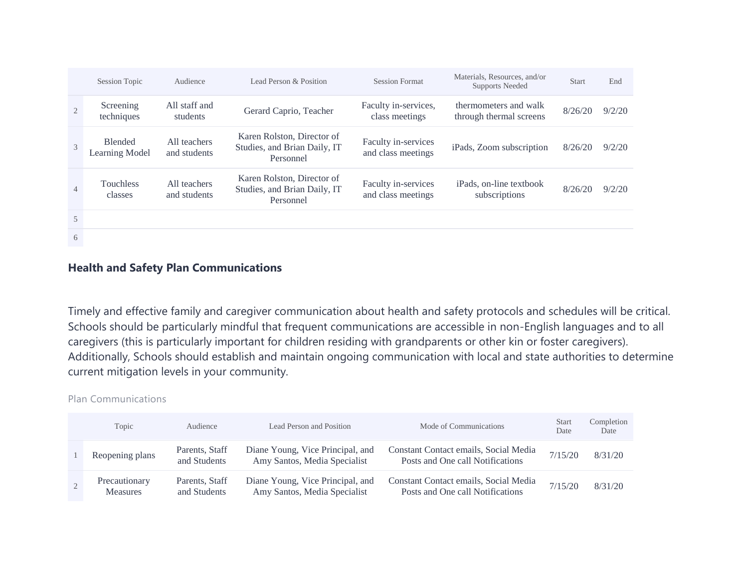|                | <b>Session Topic</b>             | Audience                     | Lead Person & Position                                                  | <b>Session Format</b>                     | Materials, Resources, and/or<br><b>Supports Needed</b> | <b>Start</b> | End    |
|----------------|----------------------------------|------------------------------|-------------------------------------------------------------------------|-------------------------------------------|--------------------------------------------------------|--------------|--------|
|                | Screening<br>techniques          | All staff and<br>students    | Gerard Caprio, Teacher                                                  | Faculty in-services,<br>class meetings    | thermometers and walk<br>through thermal screens       | 8/26/20      | 9/2/20 |
| 3              | <b>Blended</b><br>Learning Model | All teachers<br>and students | Karen Rolston, Director of<br>Studies, and Brian Daily, IT<br>Personnel | Faculty in-services<br>and class meetings | iPads, Zoom subscription                               | 8/26/20      | 9/2/20 |
| $\overline{4}$ | <b>Touchless</b><br>classes      | All teachers<br>and students | Karen Rolston, Director of<br>Studies, and Brian Daily, IT<br>Personnel | Faculty in-services<br>and class meetings | iPads, on-line textbook<br>subscriptions               | 8/26/20      | 9/2/20 |
| 5              |                                  |                              |                                                                         |                                           |                                                        |              |        |
| 6              |                                  |                              |                                                                         |                                           |                                                        |              |        |

## **Health and Safety Plan Communications**

Timely and effective family and caregiver communication about health and safety protocols and schedules will be critical. Schools should be particularly mindful that frequent communications are accessible in non-English languages and to all caregivers (this is particularly important for children residing with grandparents or other kin or foster caregivers). Additionally, Schools should establish and maintain ongoing communication with local and state authorities to determine current mitigation levels in your community.

#### Plan Communications

| Topic                            | Audience                       | Lead Person and Position                                         | Mode of Communications                                                    | <b>Start</b><br>Date | Completion<br>Date |
|----------------------------------|--------------------------------|------------------------------------------------------------------|---------------------------------------------------------------------------|----------------------|--------------------|
| Reopening plans                  | Parents, Staff<br>and Students | Diane Young, Vice Principal, and<br>Amy Santos, Media Specialist | Constant Contact emails, Social Media<br>Posts and One call Notifications | 7/15/20              | 8/31/20            |
| Precautionary<br><b>Measures</b> | Parents, Staff<br>and Students | Diane Young, Vice Principal, and<br>Amy Santos, Media Specialist | Constant Contact emails, Social Media<br>Posts and One call Notifications | 7/15/20              | 8/31/20            |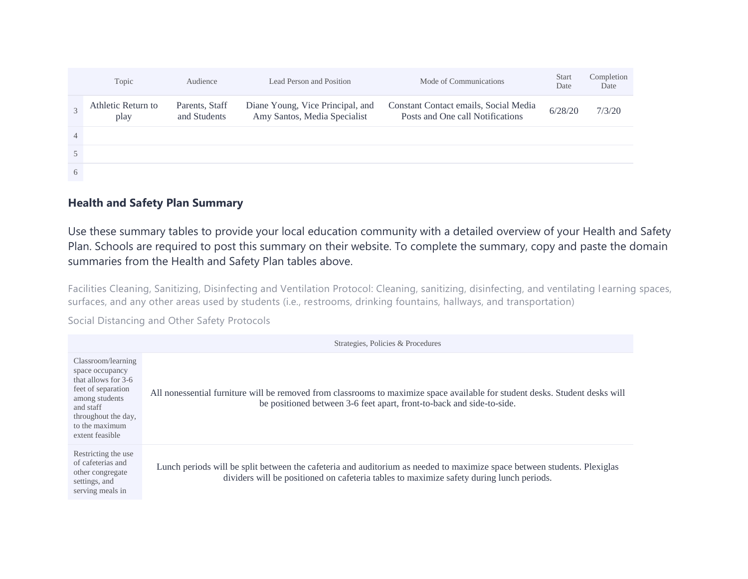|                | Topic                      | Audience                       | Lead Person and Position                                         | Mode of Communications                                                    | <b>Start</b><br>Date | Completion<br>Date |
|----------------|----------------------------|--------------------------------|------------------------------------------------------------------|---------------------------------------------------------------------------|----------------------|--------------------|
|                | Athletic Return to<br>play | Parents, Staff<br>and Students | Diane Young, Vice Principal, and<br>Amy Santos, Media Specialist | Constant Contact emails, Social Media<br>Posts and One call Notifications | 6/28/20              | 7/3/20             |
| $\overline{4}$ |                            |                                |                                                                  |                                                                           |                      |                    |
|                |                            |                                |                                                                  |                                                                           |                      |                    |
| 6              |                            |                                |                                                                  |                                                                           |                      |                    |

## **Health and Safety Plan Summary**

Use these summary tables to provide your local education community with a detailed overview of your Health and Safety Plan. Schools are required to post this summary on their website. To complete the summary, copy and paste the domain summaries from the Health and Safety Plan tables above.

Facilities Cleaning, Sanitizing, Disinfecting and Ventilation Protocol: Cleaning, sanitizing, disinfecting, and ventilating l earning spaces, surfaces, and any other areas used by students (i.e., restrooms, drinking fountains, hallways, and transportation)

Social Distancing and Other Safety Protocols

|                                                                                                                                                                               | Strategies, Policies & Procedures                                                                                                                                                                                    |
|-------------------------------------------------------------------------------------------------------------------------------------------------------------------------------|----------------------------------------------------------------------------------------------------------------------------------------------------------------------------------------------------------------------|
| Classroom/learning<br>space occupancy<br>that allows for 3-6<br>feet of separation<br>among students<br>and staff<br>throughout the day,<br>to the maximum<br>extent feasible | All nonessential furniture will be removed from classrooms to maximize space available for student desks. Student desks will<br>be positioned between 3-6 feet apart, front-to-back and side-to-side.                |
| Restricting the use<br>of cafeterias and<br>other congregate<br>settings, and<br>serving meals in                                                                             | Lunch periods will be split between the cafeteria and auditorium as needed to maximize space between students. Plexiglas<br>dividers will be positioned on cafeteria tables to maximize safety during lunch periods. |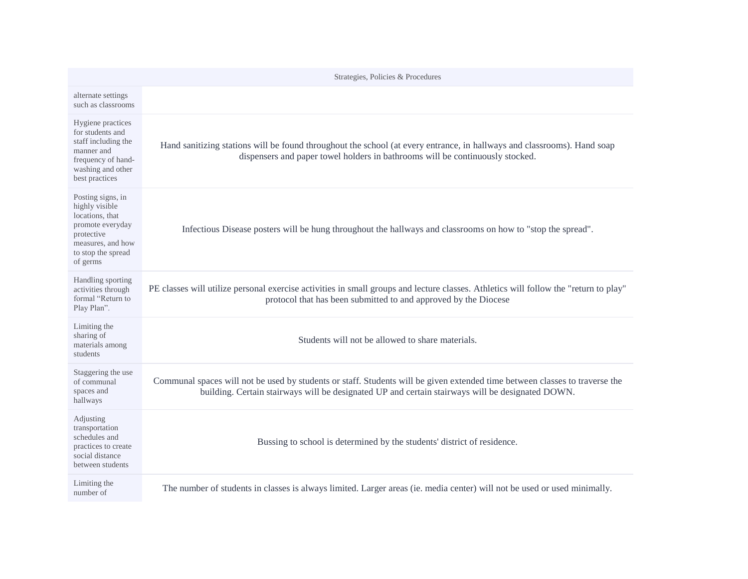|                                                                                                                                                 | Strategies, Policies & Procedures                                                                                                                                                                                               |
|-------------------------------------------------------------------------------------------------------------------------------------------------|---------------------------------------------------------------------------------------------------------------------------------------------------------------------------------------------------------------------------------|
| alternate settings<br>such as classrooms                                                                                                        |                                                                                                                                                                                                                                 |
| Hygiene practices<br>for students and<br>staff including the<br>manner and<br>frequency of hand-<br>washing and other<br>best practices         | Hand sanitizing stations will be found throughout the school (at every entrance, in hallways and classrooms). Hand soap<br>dispensers and paper towel holders in bathrooms will be continuously stocked.                        |
| Posting signs, in<br>highly visible<br>locations, that<br>promote everyday<br>protective<br>measures, and how<br>to stop the spread<br>of germs | Infectious Disease posters will be hung throughout the hallways and classrooms on how to "stop the spread".                                                                                                                     |
| Handling sporting<br>activities through<br>formal "Return to<br>Play Plan".                                                                     | PE classes will utilize personal exercise activities in small groups and lecture classes. Athletics will follow the "return to play"<br>protocol that has been submitted to and approved by the Diocese                         |
| Limiting the<br>sharing of<br>materials among<br>students                                                                                       | Students will not be allowed to share materials.                                                                                                                                                                                |
| Staggering the use<br>of communal<br>spaces and<br>hallways                                                                                     | Communal spaces will not be used by students or staff. Students will be given extended time between classes to traverse the<br>building. Certain stairways will be designated UP and certain stairways will be designated DOWN. |
| Adjusting<br>transportation<br>schedules and<br>practices to create<br>social distance<br>between students                                      | Bussing to school is determined by the students' district of residence.                                                                                                                                                         |
| Limiting the<br>number of                                                                                                                       | The number of students in classes is always limited. Larger areas (ie. media center) will not be used or used minimally.                                                                                                        |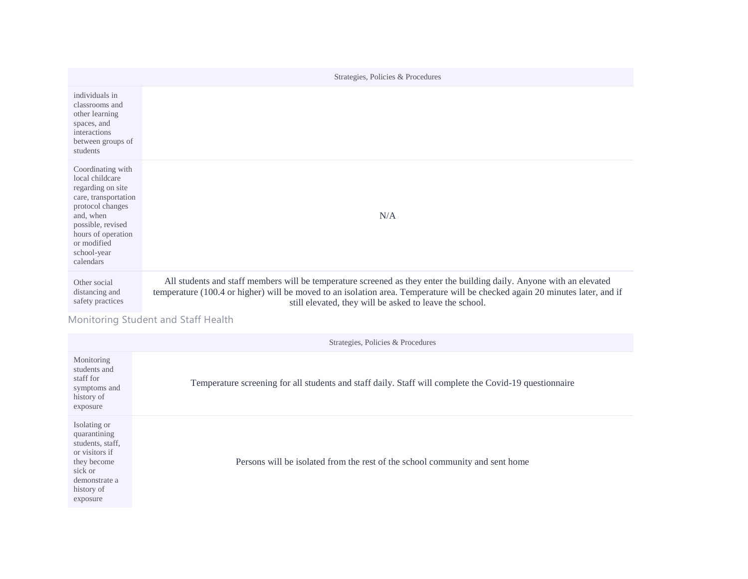|                                                                                                                                                                                                          | Strategies, Policies & Procedures                                                                                                                                                                                                                                                                                |
|----------------------------------------------------------------------------------------------------------------------------------------------------------------------------------------------------------|------------------------------------------------------------------------------------------------------------------------------------------------------------------------------------------------------------------------------------------------------------------------------------------------------------------|
| individuals in<br>classrooms and<br>other learning<br>spaces, and<br>interactions<br>between groups of<br>students                                                                                       |                                                                                                                                                                                                                                                                                                                  |
| Coordinating with<br>local childcare<br>regarding on site<br>care, transportation<br>protocol changes<br>and, when<br>possible, revised<br>hours of operation<br>or modified<br>school-year<br>calendars | N/A                                                                                                                                                                                                                                                                                                              |
| Other social<br>distancing and<br>safety practices                                                                                                                                                       | All students and staff members will be temperature screened as they enter the building daily. Anyone with an elevated<br>temperature (100.4 or higher) will be moved to an isolation area. Temperature will be checked again 20 minutes later, and if<br>still elevated, they will be asked to leave the school. |

Monitoring Student and Staff Health

Strategies, Policies & Procedures

| Monitoring<br>students and<br>staff for<br>symptoms and<br>history of<br>exposure                                                       | Temperature screening for all students and staff daily. Staff will complete the Covid-19 questionnaire |
|-----------------------------------------------------------------------------------------------------------------------------------------|--------------------------------------------------------------------------------------------------------|
| Isolating or<br>quarantining<br>students, staff,<br>or visitors if<br>they become<br>sick or<br>demonstrate a<br>history of<br>exposure | Persons will be isolated from the rest of the school community and sent home                           |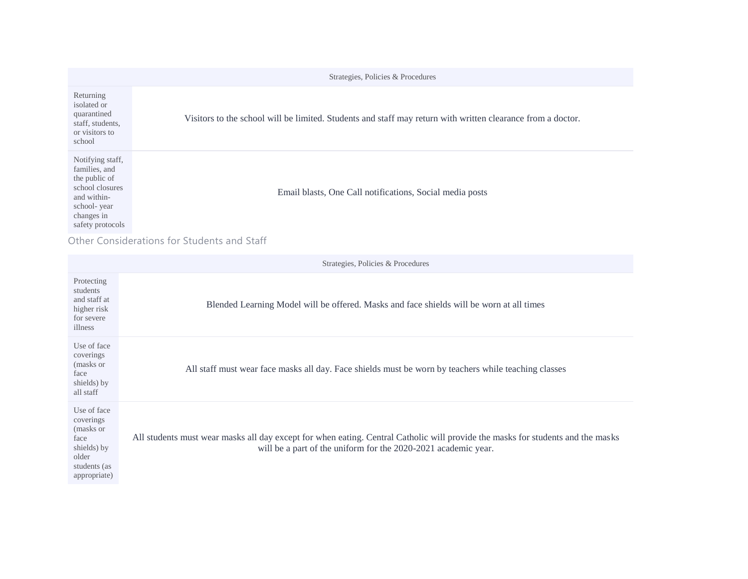|                                                                                                                                       | Strategies, Policies & Procedures                                                                           |
|---------------------------------------------------------------------------------------------------------------------------------------|-------------------------------------------------------------------------------------------------------------|
| Returning<br>isolated or<br>quarantined<br>staff, students,<br>or visitors to<br>school                                               | Visitors to the school will be limited. Students and staff may return with written clearance from a doctor. |
| Notifying staff,<br>families, and<br>the public of<br>school closures<br>and within-<br>school-year<br>changes in<br>safety protocols | Email blasts, One Call notifications, Social media posts                                                    |

Other Considerations for Students and Staff

|                                                                                                       | Strategies, Policies & Procedures                                                                                                                                                                 |
|-------------------------------------------------------------------------------------------------------|---------------------------------------------------------------------------------------------------------------------------------------------------------------------------------------------------|
| Protecting<br>students<br>and staff at<br>higher risk<br>for severe<br>illness                        | Blended Learning Model will be offered. Masks and face shields will be worn at all times                                                                                                          |
| Use of face<br>coverings<br>(masks or<br>face<br>shields) by<br>all staff                             | All staff must wear face masks all day. Face shields must be worn by teachers while teaching classes                                                                                              |
| Use of face<br>coverings<br>(masks or<br>face<br>shields) by<br>older<br>students (as<br>appropriate) | All students must wear masks all day except for when eating. Central Catholic will provide the masks for students and the masks<br>will be a part of the uniform for the 2020-2021 academic year. |